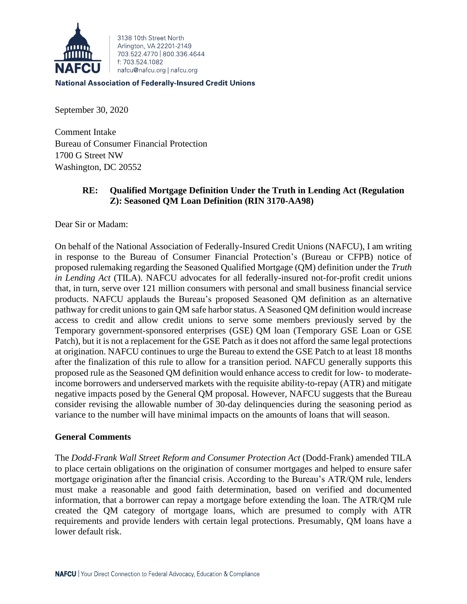

3138 10th Street North Arlington, VA 22201-2149 703 522 4770 800 336 4644 f: 703.524.1082 nafcu@nafcu.org | nafcu.org

**National Association of Federally-Insured Credit Unions** 

September 30, 2020

Comment Intake Bureau of Consumer Financial Protection 1700 G Street NW Washington, DC 20552

# **RE: Qualified Mortgage Definition Under the Truth in Lending Act (Regulation Z): Seasoned QM Loan Definition (RIN 3170-AA98)**

Dear Sir or Madam:

On behalf of the National Association of Federally-Insured Credit Unions (NAFCU), I am writing in response to the Bureau of Consumer Financial Protection's (Bureau or CFPB) notice of proposed rulemaking regarding the Seasoned Qualified Mortgage (QM) definition under the *Truth in Lending Act* (TILA). NAFCU advocates for all federally-insured not-for-profit credit unions that, in turn, serve over 121 million consumers with personal and small business financial service products. NAFCU applauds the Bureau's proposed Seasoned QM definition as an alternative pathway for credit unions to gain QM safe harbor status. A Seasoned QM definition would increase access to credit and allow credit unions to serve some members previously served by the Temporary government-sponsored enterprises (GSE) QM loan (Temporary GSE Loan or GSE Patch), but it is not a replacement for the GSE Patch as it does not afford the same legal protections at origination. NAFCU continues to urge the Bureau to extend the GSE Patch to at least 18 months after the finalization of this rule to allow for a transition period. NAFCU generally supports this proposed rule as the Seasoned QM definition would enhance access to credit for low- to moderateincome borrowers and underserved markets with the requisite ability-to-repay (ATR) and mitigate negative impacts posed by the General QM proposal. However, NAFCU suggests that the Bureau consider revising the allowable number of 30-day delinquencies during the seasoning period as variance to the number will have minimal impacts on the amounts of loans that will season.

## **General Comments**

The *Dodd-Frank Wall Street Reform and Consumer Protection Act* (Dodd-Frank) amended TILA to place certain obligations on the origination of consumer mortgages and helped to ensure safer mortgage origination after the financial crisis. According to the Bureau's ATR/QM rule, lenders must make a reasonable and good faith determination, based on verified and documented information, that a borrower can repay a mortgage before extending the loan. The ATR/QM rule created the QM category of mortgage loans, which are presumed to comply with ATR requirements and provide lenders with certain legal protections. Presumably, QM loans have a lower default risk.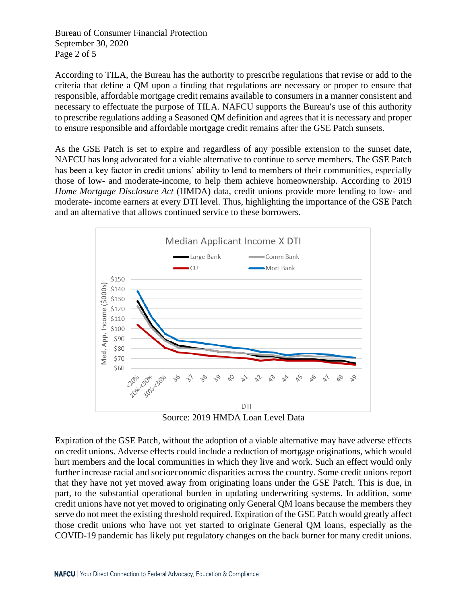Bureau of Consumer Financial Protection September 30, 2020 Page 2 of 5

According to TILA, the Bureau has the authority to prescribe regulations that revise or add to the criteria that define a QM upon a finding that regulations are necessary or proper to ensure that responsible, affordable mortgage credit remains available to consumers in a manner consistent and necessary to effectuate the purpose of TILA. NAFCU supports the Bureau's use of this authority to prescribe regulations adding a Seasoned QM definition and agrees that it is necessary and proper to ensure responsible and affordable mortgage credit remains after the GSE Patch sunsets.

As the GSE Patch is set to expire and regardless of any possible extension to the sunset date, NAFCU has long advocated for a viable alternative to continue to serve members. The GSE Patch has been a key factor in credit unions' ability to lend to members of their communities, especially those of low- and moderate-income, to help them achieve homeownership. According to 2019 *Home Mortgage Disclosure Act* (HMDA) data, credit unions provide more lending to low- and moderate- income earners at every DTI level. Thus, highlighting the importance of the GSE Patch and an alternative that allows continued service to these borrowers.





Expiration of the GSE Patch, without the adoption of a viable alternative may have adverse effects on credit unions. Adverse effects could include a reduction of mortgage originations, which would hurt members and the local communities in which they live and work. Such an effect would only further increase racial and socioeconomic disparities across the country. Some credit unions report that they have not yet moved away from originating loans under the GSE Patch. This is due, in part, to the substantial operational burden in updating underwriting systems. In addition, some credit unions have not yet moved to originating only General QM loans because the members they serve do not meet the existing threshold required. Expiration of the GSE Patch would greatly affect those credit unions who have not yet started to originate General QM loans, especially as the COVID-19 pandemic has likely put regulatory changes on the back burner for many credit unions.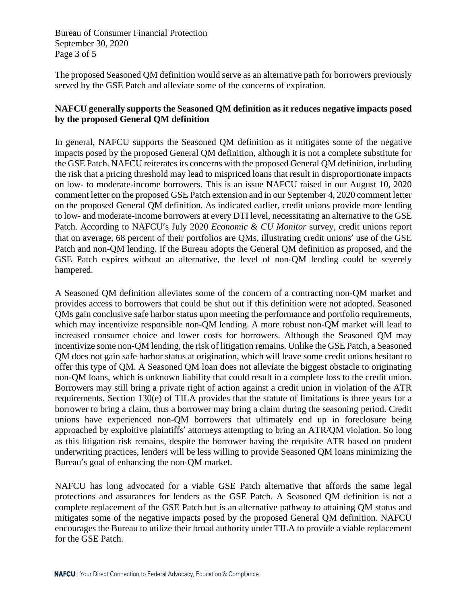Bureau of Consumer Financial Protection September 30, 2020 Page 3 of 5

The proposed Seasoned QM definition would serve as an alternative path for borrowers previously served by the GSE Patch and alleviate some of the concerns of expiration.

### **NAFCU generally supports the Seasoned QM definition as it reduces negative impacts posed by the proposed General QM definition**

In general, NAFCU supports the Seasoned QM definition as it mitigates some of the negative impacts posed by the proposed General QM definition, although it is not a complete substitute for the GSE Patch. NAFCU reiterates its concerns with the proposed General QM definition, including the risk that a pricing threshold may lead to mispriced loans that result in disproportionate impacts on low- to moderate-income borrowers. This is an issue NAFCU raised in our August 10, 2020 comment letter on the proposed GSE Patch extension and in our September 4, 2020 comment letter on the proposed General QM definition. As indicated earlier, credit unions provide more lending to low- and moderate-income borrowers at every DTI level, necessitating an alternative to the GSE Patch. According to NAFCU's July 2020 *Economic & CU Monitor* survey, credit unions report that on average, 68 percent of their portfolios are QMs, illustrating credit unions' use of the GSE Patch and non-QM lending. If the Bureau adopts the General QM definition as proposed, and the GSE Patch expires without an alternative, the level of non-QM lending could be severely hampered.

A Seasoned QM definition alleviates some of the concern of a contracting non-QM market and provides access to borrowers that could be shut out if this definition were not adopted. Seasoned QMs gain conclusive safe harbor status upon meeting the performance and portfolio requirements, which may incentivize responsible non-QM lending. A more robust non-QM market will lead to increased consumer choice and lower costs for borrowers. Although the Seasoned QM may incentivize some non-QM lending, the risk of litigation remains. Unlike the GSE Patch, a Seasoned QM does not gain safe harbor status at origination, which will leave some credit unions hesitant to offer this type of QM. A Seasoned QM loan does not alleviate the biggest obstacle to originating non-QM loans, which is unknown liability that could result in a complete loss to the credit union. Borrowers may still bring a private right of action against a credit union in violation of the ATR requirements. Section 130(e) of TILA provides that the statute of limitations is three years for a borrower to bring a claim, thus a borrower may bring a claim during the seasoning period. Credit unions have experienced non-QM borrowers that ultimately end up in foreclosure being approached by exploitive plaintiffs' attorneys attempting to bring an ATR/QM violation. So long as this litigation risk remains, despite the borrower having the requisite ATR based on prudent underwriting practices, lenders will be less willing to provide Seasoned QM loans minimizing the Bureau's goal of enhancing the non-QM market.

NAFCU has long advocated for a viable GSE Patch alternative that affords the same legal protections and assurances for lenders as the GSE Patch. A Seasoned QM definition is not a complete replacement of the GSE Patch but is an alternative pathway to attaining QM status and mitigates some of the negative impacts posed by the proposed General QM definition. NAFCU encourages the Bureau to utilize their broad authority under TILA to provide a viable replacement for the GSE Patch.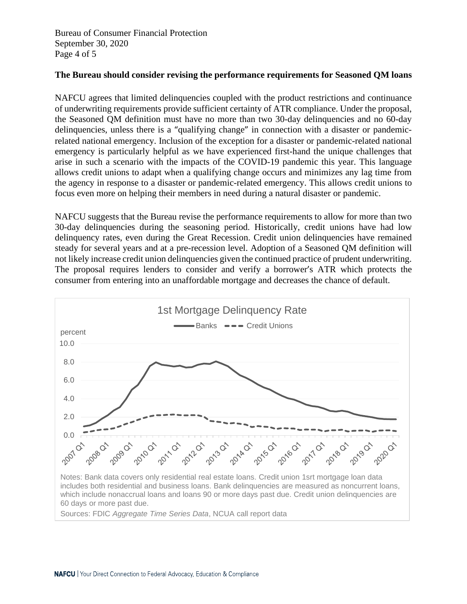Bureau of Consumer Financial Protection September 30, 2020 Page 4 of 5

#### **The Bureau should consider revising the performance requirements for Seasoned QM loans**

NAFCU agrees that limited delinquencies coupled with the product restrictions and continuance of underwriting requirements provide sufficient certainty of ATR compliance. Under the proposal, the Seasoned QM definition must have no more than two 30-day delinquencies and no 60-day delinquencies, unless there is a "qualifying change" in connection with a disaster or pandemicrelated national emergency. Inclusion of the exception for a disaster or pandemic-related national emergency is particularly helpful as we have experienced first-hand the unique challenges that arise in such a scenario with the impacts of the COVID-19 pandemic this year. This language allows credit unions to adapt when a qualifying change occurs and minimizes any lag time from the agency in response to a disaster or pandemic-related emergency. This allows credit unions to focus even more on helping their members in need during a natural disaster or pandemic.

NAFCU suggests that the Bureau revise the performance requirements to allow for more than two 30-day delinquencies during the seasoning period. Historically, credit unions have had low delinquency rates, even during the Great Recession. Credit union delinquencies have remained steady for several years and at a pre-recession level. Adoption of a Seasoned QM definition will not likely increase credit union delinquencies given the continued practice of prudent underwriting. The proposal requires lenders to consider and verify a borrower's ATR which protects the consumer from entering into an unaffordable mortgage and decreases the chance of default.